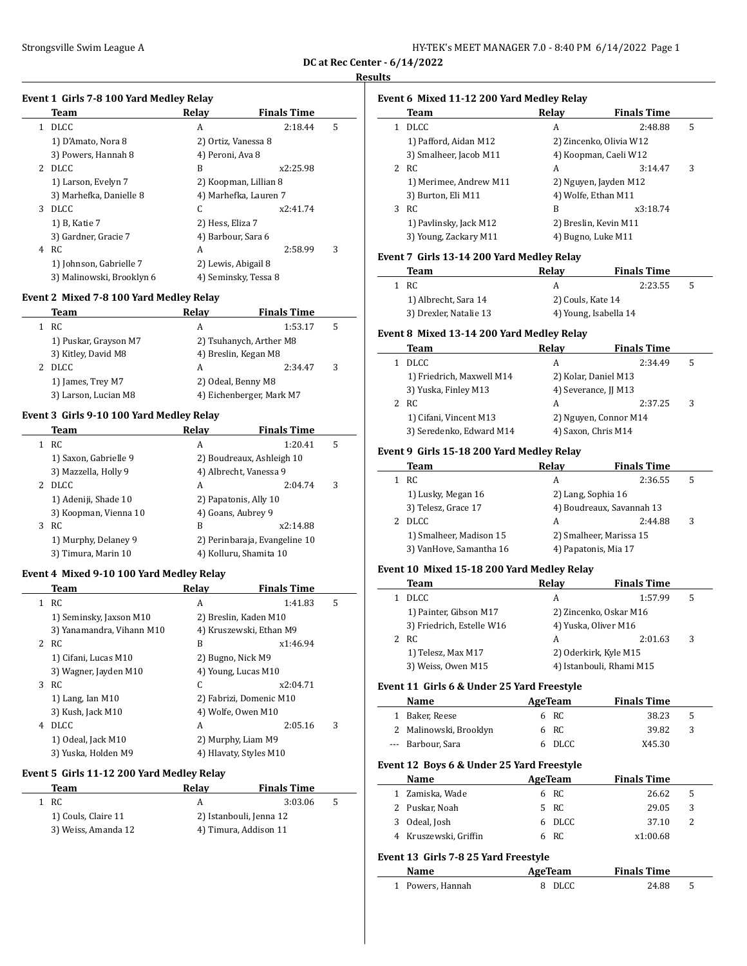|  | HY-TEK's MEET MANAGER 7.0 - 8:40 PM 6/14/2022 Page 1 |  |  |  |
|--|------------------------------------------------------|--|--|--|
|--|------------------------------------------------------|--|--|--|

**DC at Rec Center - 6/14/2022**

#### **Results**

# **Event 1 Girls 7-8 100 Yard Medley Relay**

|                | Team                      | Relay               | <b>Finals Time</b>    |   |
|----------------|---------------------------|---------------------|-----------------------|---|
| 1.             | <b>DLCC</b>               | A                   | 2:18.44               | 5 |
|                | 1) D'Amato, Nora 8        | 2) Ortiz, Vanessa 8 |                       |   |
|                | 3) Powers, Hannah 8       | 4) Peroni, Ava 8    |                       |   |
| $\overline{2}$ | DLCC.                     | B                   | x2:25.98              |   |
|                | 1) Larson, Evelyn 7       |                     | 2) Koopman, Lillian 8 |   |
|                | 3) Marhefka, Danielle 8   |                     | 4) Marhefka, Lauren 7 |   |
| 3              | <b>DLCC</b>               | C                   | x2:41.74              |   |
|                | 1) B, Katie 7             | 2) Hess, Eliza 7    |                       |   |
|                | 3) Gardner, Gracie 7      | 4) Barbour, Sara 6  |                       |   |
| 4              | RC.                       | A                   | 2:58.99               | 3 |
|                | 1) Johnson, Gabrielle 7   | 2) Lewis, Abigail 8 |                       |   |
|                | 3) Malinowski, Brooklyn 6 |                     | 4) Seminsky, Tessa 8  |   |

### **Event 2 Mixed 7-8 100 Yard Medley Relay**

| Team                  | Relay | <b>Finals Time</b>       |   |
|-----------------------|-------|--------------------------|---|
| 1 RC                  | А     | 1:53.17                  | 5 |
| 1) Puskar, Grayson M7 |       | 2) Tsuhanych, Arther M8  |   |
| 3) Kitley, David M8   |       | 4) Breslin, Kegan M8     |   |
| <b>DLCC</b>           | A     | 2.34.47                  | 3 |
| 1) James, Trey M7     |       | 2) Odeal, Benny M8       |   |
| 3) Larson, Lucian M8  |       | 4) Eichenberger, Mark M7 |   |

#### **Event 3 Girls 9-10 100 Yard Medley Relay**

|   | Team                  | Relay                  | <b>Finals Time</b>            |   |
|---|-----------------------|------------------------|-------------------------------|---|
| 1 | RC                    | А                      | 1:20.41                       | 5 |
|   | 1) Saxon, Gabrielle 9 |                        | 2) Boudreaux, Ashleigh 10     |   |
|   | 3) Mazzella, Holly 9  | 4) Albrecht, Vanessa 9 |                               |   |
| 2 | DLCC.                 | A                      | 2:04.74                       | 3 |
|   | 1) Adeniji, Shade 10  | 2) Papatonis, Ally 10  |                               |   |
|   | 3) Koopman, Vienna 10 | 4) Goans, Aubrey 9     |                               |   |
|   | 3 RC                  | B                      | x2:14.88                      |   |
|   | 1) Murphy, Delaney 9  |                        | 2) Perinbaraja, Evangeline 10 |   |
|   | 3) Timura, Marin 10   | 4) Kolluru, Shamita 10 |                               |   |

#### **Event 4 Mixed 9-10 100 Yard Medley Relay**

|              | Team                      | Relay | <b>Finals Time</b>      |   |
|--------------|---------------------------|-------|-------------------------|---|
| $\mathbf{1}$ | RC                        | A     | 1:41.83                 | 5 |
|              | 1) Seminsky, Jaxson M10   |       | 2) Breslin, Kaden M10   |   |
|              | 3) Yanamandra, Vihann M10 |       | 4) Kruszewski, Ethan M9 |   |
|              | 2 RC                      | B     | x1:46.94                |   |
|              | 1) Cifani, Lucas M10      |       | 2) Bugno, Nick M9       |   |
|              | 3) Wagner, Jayden M10     |       | 4) Young, Lucas M10     |   |
| 3            | RC                        | C     | x2:04.71                |   |
|              | 1) Lang, Ian $M10$        |       | 2) Fabrizi, Domenic M10 |   |
|              | 3) Kush, Jack M10         |       | 4) Wolfe, Owen M10      |   |
| 4            | DLCC.                     | A     | 2:05.16                 | 3 |
|              | 1) Odeal, Jack M10        |       | 2) Murphy, Liam M9      |   |
|              | 3) Yuska, Holden M9       |       | 4) Hlavaty, Styles M10  |   |

#### **Event 5 Girls 11-12 200 Yard Medley Relay**

| Team                | Relav | <b>Finals Time</b>      |  |
|---------------------|-------|-------------------------|--|
| 1 RC                |       | 3:03.06<br>-5           |  |
| 1) Couls, Claire 11 |       | 2) Istanbouli, Jenna 12 |  |
| 3) Weiss, Amanda 12 |       | 4) Timura, Addison 11   |  |

# **Event 6 Mixed 11-12 200 Yard Medley Relay**

|   | Team                   | Relay | <b>Finals Time</b>      |   |
|---|------------------------|-------|-------------------------|---|
|   | <b>DLCC</b>            | A     | 2:48.88                 | 5 |
|   | 1) Pafford, Aidan M12  |       | 2) Zincenko, Olivia W12 |   |
|   | 3) Smalheer, Jacob M11 |       | 4) Koopman, Caeli W12   |   |
|   | 2 RC                   | A     | 3:14.47                 | 3 |
|   | 1) Merimee, Andrew M11 |       | 2) Nguyen, Jayden M12   |   |
|   | 3) Burton, Eli M11     |       | 4) Wolfe, Ethan M11     |   |
| 3 | RC                     | B     | x3:18.74                |   |
|   | 1) Pavlinsky, Jack M12 |       | 2) Breslin, Kevin M11   |   |
|   | 3) Young, Zackary M11  |       | 4) Bugno, Luke M11      |   |

#### **Event 7 Girls 13-14 200 Yard Medley Relay**

| Team                   | Relav                 | <b>Finals Time</b> |   |
|------------------------|-----------------------|--------------------|---|
| 1 RC                   |                       | 2:23.55            | 5 |
| 1) Albrecht, Sara 14   | 2) Couls, Kate 14     |                    |   |
| 3) Drexler, Natalie 13 | 4) Young, Isabella 14 |                    |   |

#### **Event 8 Mixed 13-14 200 Yard Medley Relay**

| Team                      | Relay | <b>Finals Time</b>    |   |
|---------------------------|-------|-----------------------|---|
| <b>DLCC</b>               | A     | 2:34.49               | 5 |
| 1) Friedrich, Maxwell M14 |       | 2) Kolar, Daniel M13  |   |
| 3) Yuska, Finley M13      |       | 4) Severance, JJ M13  |   |
| 2 RC                      | A     | 2:37.25               | 3 |
| 1) Cifani, Vincent M13    |       | 2) Nguyen, Connor M14 |   |
| 3) Seredenko, Edward M14  |       | 4) Saxon, Chris M14   |   |

#### **Event 9 Girls 15-18 200 Yard Medley Relay**

| Team                    | Relay | <b>Finals Time</b> |                                                                                                    |
|-------------------------|-------|--------------------|----------------------------------------------------------------------------------------------------|
| RC                      | А     | 2:36.55            | 5                                                                                                  |
| 1) Lusky, Megan 16      |       |                    |                                                                                                    |
| 3) Telesz, Grace 17     |       |                    |                                                                                                    |
| <b>DLCC</b>             | А     | 2:44.88            | 3                                                                                                  |
| 1) Smalheer, Madison 15 |       |                    |                                                                                                    |
| 3) VanHove, Samantha 16 |       |                    |                                                                                                    |
|                         |       |                    | 2) Lang, Sophia 16<br>4) Boudreaux, Savannah 13<br>2) Smalheer, Marissa 15<br>4) Papatonis, Mia 17 |

#### **Event 10 Mixed 15-18 200 Yard Medley Relay**

| Team                      | Relav                    | <b>Finals Time</b> |   |
|---------------------------|--------------------------|--------------------|---|
| <b>DLCC</b>               | А                        | 1:57.99            | 5 |
| 1) Painter, Gibson M17    | 2) Zincenko, Oskar M16   |                    |   |
| 3) Friedrich, Estelle W16 | 4) Yuska, Oliver M16     |                    |   |
| RC.                       | А                        | 2:01.63            | 3 |
| 1) Telesz, Max M17        | 2) Oderkirk, Kyle M15    |                    |   |
| 3) Weiss, Owen M15        | 4) Istanbouli, Rhami M15 |                    |   |

#### **Event 11 Girls 6 & Under 25 Yard Freestyle**

| <b>Name</b>            | AgeTeam | <b>Finals Time</b> |    |  |
|------------------------|---------|--------------------|----|--|
| 1 Baker, Reese         | 6 RC    | 38.23              | 5  |  |
| 2 Malinowski, Brooklyn | 6 RC    | 39.82              | -3 |  |
| --- Barbour, Sara      | 6 DLCC  | X45.30             |    |  |

# **Event 12 Boys 6 & Under 25 Yard Freestyle**

| <b>Name</b>           | AgeTeam | <b>Finals Time</b> |  |
|-----------------------|---------|--------------------|--|
| 1 Zamiska, Wade       | 6 RC    | 26.62<br>- 5       |  |
| 2 Puskar, Noah        | 5 RC    | 29.05<br>3         |  |
| 3 Odeal, Josh         | 6 DLCC  | 37.10              |  |
| 4 Kruszewski, Griffin | 6 RC    | x1:00.68           |  |

#### **Event 13 Girls 7-8 25 Yard Freestyle**

 $\overline{\phantom{0}}$ 

| Name             | AgeTeam | <b>Finals Time</b> |  |
|------------------|---------|--------------------|--|
| 1 Powers, Hannah | 8 DLCC  | 24.88              |  |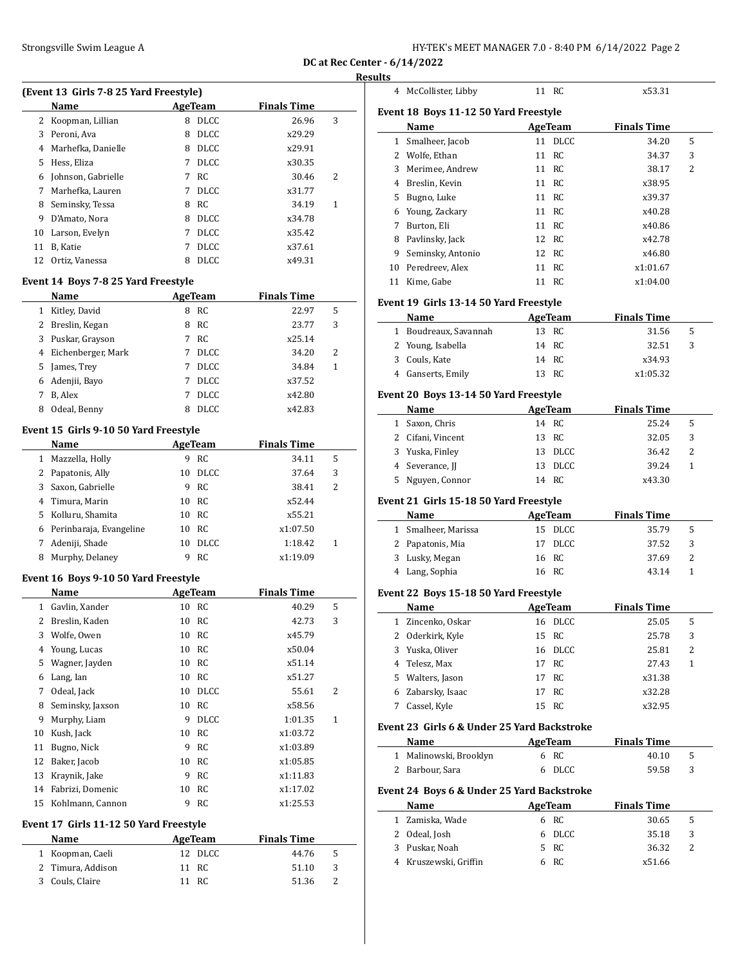| HY-TEK's MEET MANAGER 7.0 - 8:40 PM 6/14/2022 Page 2 |  |  |  |
|------------------------------------------------------|--|--|--|
|------------------------------------------------------|--|--|--|

**DC at Rec Center - 6/14/2022**

|    | (Event 13 Girls 7-8 25 Yard Freestyle)     |             |                |                    |   |
|----|--------------------------------------------|-------------|----------------|--------------------|---|
|    | Name                                       |             | AgeTeam        | <b>Finals Time</b> |   |
| 2  | Koopman, Lillian                           |             | 8 DLCC         | 26.96              | 3 |
| 3  | Peroni, Ava                                | 8           | <b>DLCC</b>    | x29.29             |   |
| 4  | Marhefka, Danielle                         | 8           | <b>DLCC</b>    | x29.91             |   |
| 5  | Hess, Eliza                                | 7           | <b>DLCC</b>    | x30.35             |   |
| 6  | Johnson, Gabrielle                         | 7           | RC             | 30.46              | 2 |
| 7  | Marhefka, Lauren                           | 7           | DLCC.          | x31.77             |   |
| 8  | Seminsky, Tessa                            | 8           | RC             | 34.19              | 1 |
| 9  | D'Amato, Nora                              | 8           | <b>DLCC</b>    | x34.78             |   |
| 10 | Larson, Evelyn                             | 7           | <b>DLCC</b>    | x35.42             |   |
| 11 | B, Katie                                   | 7           | <b>DLCC</b>    | x37.61             |   |
| 12 | Ortiz, Vanessa                             | 8           | <b>DLCC</b>    | x49.31             |   |
|    | <b>Event 14 Boys 7-8 25 Yard Freestyle</b> |             |                |                    |   |
|    | Name                                       |             | AgeTeam        | <b>Finals Time</b> |   |
| 1  | Kitley, David                              |             | 8 RC           | 22.97              | 5 |
| 2  | Breslin, Kegan                             | 8           | RC             | 23.77              | 3 |
| 3  | Puskar, Grayson                            | 7           | RC             | x25.14             |   |
| 4  | Eichenberger, Mark                         | 7           | <b>DLCC</b>    | 34.20              | 2 |
| 5  | James, Trey                                | $7^{\circ}$ | <b>DLCC</b>    | 34.84              | 1 |
| 6  | Adenjii, Bayo                              | $7^{\circ}$ | <b>DLCC</b>    | x37.52             |   |
| 7  | B, Alex                                    | 7           | <b>DLCC</b>    | x42.80             |   |
| 8  | Odeal, Benny                               | 8           | <b>DLCC</b>    | x42.83             |   |
|    | Event 15 Girls 9-10 50 Yard Freestyle      |             |                |                    |   |
|    | Name                                       |             | <b>AgeTeam</b> | <b>Finals Time</b> |   |
| 1  | Mazzella, Holly                            |             | 9 RC           | 34.11              | 5 |
| 2  | Papatonis, Ally                            | 10          | <b>DLCC</b>    | 37.64              | 3 |
| 3  | Saxon, Gabrielle                           | 9           | <b>RC</b>      | 38.41              | 2 |
| 4  | Timura, Marin                              | 10          | <b>RC</b>      | x52.44             |   |
| 5. | Kolluru, Shamita                           | 10          | RC             | x55.21             |   |
| 6  | Perinbaraja, Evangeline                    | 10          | RC             | x1:07.50           |   |
| 7  | Adeniji, Shade                             | 10          | <b>DLCC</b>    | 1:18.42            | 1 |
| 8  | Murphy, Delaney                            | 9           | -RC            | x1:19.09           |   |
|    | Event 16 Boys 9-10 50 Yard Freestyle       |             |                |                    |   |
|    | Name                                       |             | <b>AgeTeam</b> | <b>Finals Time</b> |   |
|    | 1 Gavlin, Xander                           | 10          | RC             | 40.29              | 5 |
| 2  | Breslin, Kaden                             | 10          | RC             | 42.73              | 3 |
| 3  | Wolfe, Owen                                | 10          | RC             | x45.79             |   |
| 4  | Young, Lucas                               | 10          | RC             | x50.04             |   |
| 5  | Wagner, Jayden                             | 10          | RC             | x51.14             |   |
| 6  | Lang, Ian                                  | 10          | RC             | x51.27             |   |
| 7  | Odeal, Jack                                | 10          | DLCC           | 55.61              | 2 |
| 8  | Seminsky, Jaxson                           | 10          | RC             | x58.56             |   |
| 9  | Murphy, Liam                               | 9           | <b>DLCC</b>    | 1:01.35            | 1 |
| 10 | Kush, Jack                                 | 10          | RC             | x1:03.72           |   |
| 11 | Bugno, Nick                                | 9           | RC             | x1:03.89           |   |
| 12 | Baker, Jacob                               | 10          | RC             | x1:05.85           |   |
| 13 | Kraynik, Jake                              | 9           | RC             | x1:11.83           |   |
| 14 | Fabrizi, Domenic                           | 10          | RC             | x1:17.02           |   |
| 15 | Kohlmann, Cannon                           | 9           | RC             | x1:25.53           |   |
|    | Event 17 Girls 11-12 50 Yard Freestyle     |             |                |                    |   |
|    | Name                                       |             | <b>AgeTeam</b> | <b>Finals Time</b> |   |
|    |                                            |             | DLCC           | 44.76              | 5 |
| 1  | Koopman, Caeli                             | 12          |                |                    |   |
| 2  | Timura, Addison                            | 11          | RC             | 51.10              | 3 |

| sults  |                                             |          |                |                    |        |
|--------|---------------------------------------------|----------|----------------|--------------------|--------|
|        | 4 McCollister, Libby                        |          | 11 RC          | x53.31             |        |
|        | Event 18 Boys 11-12 50 Yard Freestyle       |          |                |                    |        |
|        | Name                                        |          | <b>AgeTeam</b> | <b>Finals Time</b> |        |
|        | 1 Smalheer, Jacob                           |          | 11 DLCC        | 34.20              | 5      |
|        | 2 Wolfe, Ethan                              | 11       | RC             | 34.37              | 3      |
|        | 3 Merimee, Andrew                           |          | 11 RC          | 38.17              | 2      |
|        | 4 Breslin, Kevin                            |          | 11 RC          | x38.95             |        |
| 5      | Bugno, Luke                                 | 11       | - RC           | x39.37             |        |
| 6      | Young, Zackary                              |          | 11 RC          | x40.28             |        |
|        | 7 Burton, Eli                               | 11       | RC             | x40.86             |        |
| 8      | Pavlinsky, Jack                             | 12       | RC             | x42.78             |        |
| 9      | Seminsky, Antonio                           | 12       | RC             | x46.80             |        |
| 10     | Peredreev, Alex                             | 11       | RC             | x1:01.67           |        |
| 11     | Kime, Gabe                                  | 11       | RC             | x1:04.00           |        |
|        | Event 19 Girls 13-14 50 Yard Freestyle      |          |                |                    |        |
|        | Name                                        |          | AgeTeam        | <b>Finals Time</b> |        |
|        | 1 Boudreaux, Savannah                       |          | 13 RC          | 31.56              | 5      |
|        | 2 Young, Isabella                           |          | 14 RC          | 32.51              | 3      |
|        | 3 Couls, Kate                               |          | 14 RC          | x34.93             |        |
|        | 4 Ganserts, Emily                           |          | 13 RC          | x1:05.32           |        |
|        |                                             |          |                |                    |        |
|        | Event 20 Boys 13-14 50 Yard Freestyle       |          |                |                    |        |
|        | Name                                        |          | <b>AgeTeam</b> | <b>Finals Time</b> |        |
|        | 1 Saxon, Chris                              |          | 14 RC          | 25.24              | 5      |
|        | 2 Cifani, Vincent                           | 13       | RC             | 32.05              | 3      |
|        |                                             |          | DLCC           | 36.42              | 2      |
|        | 3 Yuska, Finley                             | 13       |                |                    |        |
|        | 4 Severance, JJ                             | 13       | DLCC           | 39.24              | 1      |
| 5      | Nguyen, Connor                              |          | 14 RC          | x43.30             |        |
|        | Event 21 Girls 15-18 50 Yard Freestyle      |          |                |                    |        |
|        | Name                                        |          | <b>AgeTeam</b> | <b>Finals Time</b> |        |
|        | 1 Smalheer, Marissa                         |          | 15 DLCC        | 35.79              | 5      |
|        | 2 Papatonis, Mia                            | 17       | DLCC           | 37.52              | 3      |
|        | 3 Lusky, Megan                              | 16       | RC             | 37.69              | 2      |
|        | 4 Lang, Sophia                              |          | 16 RC          | 43.14              | 1      |
|        |                                             |          |                |                    |        |
|        | Event 22 Boys 15-18 50 Yard Freestyle       |          |                |                    |        |
|        | Name                                        |          | AgeTeam        | <b>Finals Time</b> |        |
| 1      | Zincenko, Oskar                             | 16       | DLCC           | 25.05              | 5      |
| 2<br>3 | Oderkirk, Kyle<br>Yuska, Oliver             | 15<br>16 | RC<br>DLCC     | 25.78              | 3<br>2 |
|        |                                             |          |                | 25.81              |        |
| 4      | Telesz, Max                                 | 17       | RC             | 27.43              | 1      |
|        | 5 Walters, Jason                            | 17       | RC             | x31.38             |        |
| 6<br>7 | Zabarsky, Isaac                             | 17<br>15 | RC<br>RC       | x32.28             |        |
|        | Cassel, Kyle                                |          |                | x32.95             |        |
|        | Event 23 Girls 6 & Under 25 Yard Backstroke |          |                |                    |        |
|        | Name                                        |          | AgeTeam        | <b>Finals Time</b> |        |
|        | 1 Malinowski, Brooklyn                      |          | 6 RC           | 40.10              | 5      |
|        | 2 Barbour, Sara                             |          | 6 DLCC         | 59.58              | 3      |
|        | Event 24 Boys 6 & Under 25 Yard Backstroke  |          |                |                    |        |
|        | Name                                        |          | <b>AgeTeam</b> | <b>Finals Time</b> |        |
|        | 1 Zamiska, Wade                             | 6        | RC             | 30.65              | 5      |
|        | 2 Odeal, Josh                               | 6        | DLCC           | 35.18              | 3      |
|        | 3 Puskar, Noah<br>4 Kruszewski, Griffin     | 5<br>6   | RC<br>RC       | 36.32<br>x51.66    | 2      |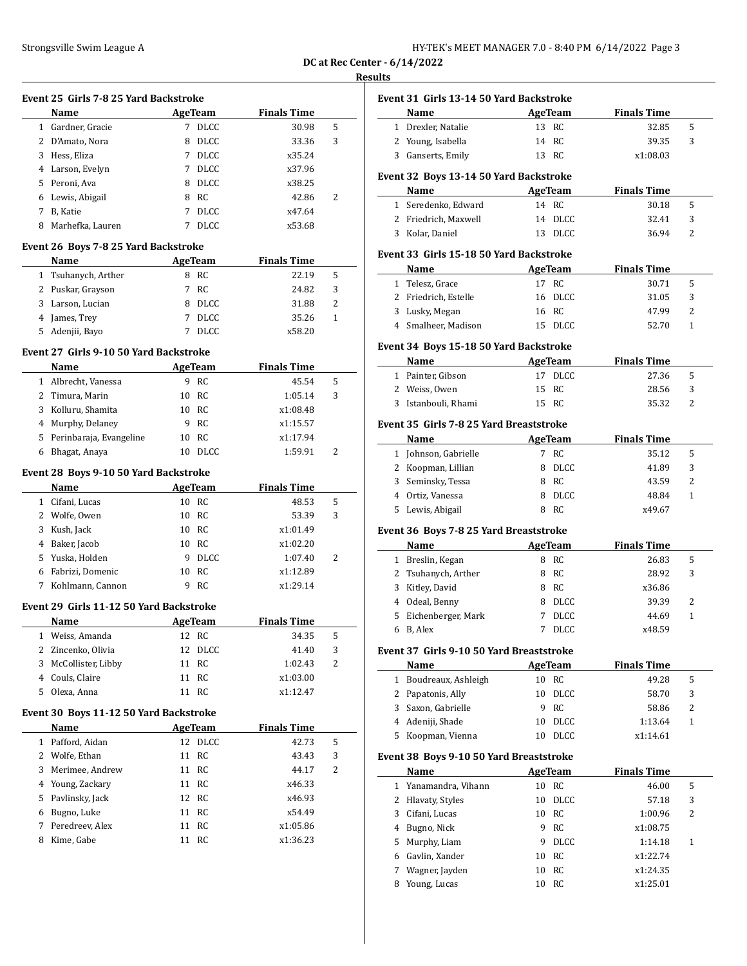| HY-TEK's MEET MANAGER 7.0 - 8:40 PM 6/14/2022 Page 3 |  |
|------------------------------------------------------|--|
|------------------------------------------------------|--|

**DC at Rec Center - 6/14/2022 Results**

# **Event 25 Girls 7-8 25 Yard Backstroke**

| <b>Name</b>      |   |             | <b>Finals Time</b> |   |  |  |  |  |  |
|------------------|---|-------------|--------------------|---|--|--|--|--|--|
| Gardner, Gracie  | 7 | <b>DLCC</b> | 30.98              | 5 |  |  |  |  |  |
| 2 D'Amato, Nora  | 8 | <b>DLCC</b> | 33.36              | 3 |  |  |  |  |  |
| Hess, Eliza      | 7 | <b>DLCC</b> | x35.24             |   |  |  |  |  |  |
| Larson, Evelyn   | 7 | <b>DLCC</b> | x37.96             |   |  |  |  |  |  |
| Peroni, Ava      | 8 | <b>DLCC</b> | x38.25             |   |  |  |  |  |  |
| Lewis, Abigail   | 8 | RC          | 42.86              | 2 |  |  |  |  |  |
| B, Katie         | 7 | <b>DLCC</b> | x47.64             |   |  |  |  |  |  |
| Marhefka, Lauren |   | <b>DLCC</b> | x53.68             |   |  |  |  |  |  |
|                  |   |             | AgeTeam            |   |  |  |  |  |  |

# **Event 26 Boys 7-8 25 Yard Backstroke**

| <b>Name</b>         | AgeTeam |       | <b>Finals Time</b> |   |  |
|---------------------|---------|-------|--------------------|---|--|
| 1 Tsuhanych, Arther |         | 8 RC  | 22.19              | 5 |  |
| 2 Puskar, Grayson   |         | 7 RC  | 24.82              | 3 |  |
| 3 Larson, Lucian    |         | DLCC  | 31.88              | 2 |  |
| 4 James, Trey       |         | DLCC  | 35.26              |   |  |
| 5 Adenjii, Bayo     |         | DLCC. | x58.20             |   |  |

# **Event 27 Girls 9-10 50 Yard Backstroke**

|   | <b>Name</b>               | AgeTeam |       | <b>Finals Time</b> |   |  |
|---|---------------------------|---------|-------|--------------------|---|--|
|   | Albrecht, Vanessa         |         | - RC  | 45.54              | 5 |  |
|   | 2 Timura, Marin           |         | 10 RC | 1:05.14            | 3 |  |
| 3 | Kolluru, Shamita          | 10.     | - RC  | x1:08.48           |   |  |
|   | 4 Murphy, Delaney         | 9       | - RC  | x1:15.57           |   |  |
|   | 5 Perinbaraja, Evangeline | 10      | - RC  | x1:17.94           |   |  |
| 6 | Bhagat, Anaya             |         | DLCC. | 1:59.91            | 2 |  |

# **Event 28 Boys 9-10 50 Yard Backstroke**

|   | Name             | AgeTeam |             | <b>Finals Time</b> |   |
|---|------------------|---------|-------------|--------------------|---|
| 1 | Cifani, Lucas    | 10      | RC          | 48.53              | 5 |
|   | 2 Wolfe, Owen    | 10      | RC          | 53.39              | 3 |
|   | 3 Kush, Jack     | 10      | RC          | x1:01.49           |   |
|   | 4 Baker, Jacob   | 10      | RC          | x1:02.20           |   |
|   | 5 Yuska, Holden  | 9       | <b>DLCC</b> | 1:07.40            | 2 |
| 6 | Fabrizi, Domenic | 10      | RC.         | x1:12.89           |   |
|   | Kohlmann, Cannon |         | RC.         | x1:29.14           |   |

### **Event 29 Girls 11-12 50 Yard Backstroke**

| LVCIIC 47 AN IS 11 14 JO THER DRUISH ONC |                      |         |         |                    |   |  |  |  |  |
|------------------------------------------|----------------------|---------|---------|--------------------|---|--|--|--|--|
|                                          | <b>Name</b>          | AgeTeam |         | <b>Finals Time</b> |   |  |  |  |  |
|                                          | 1 Weiss, Amanda      |         | 12 RC   | 34.35              | 5 |  |  |  |  |
|                                          | 2 Zincenko, Olivia   |         | 12 DLCC | 41.40              | 3 |  |  |  |  |
|                                          | 3 McCollister, Libby |         | 11 RC   | 1:02.43            | 2 |  |  |  |  |
|                                          | 4 Couls, Claire      |         | 11 RC   | x1:03.00           |   |  |  |  |  |
|                                          | 5 Olexa, Anna        |         | 11 RC   | x1:12.47           |   |  |  |  |  |

# **Event 30 Boys 11-12 50 Yard Backstroke**

|              | Name              | AgeTeam |       | <b>Finals Time</b> |   |  |
|--------------|-------------------|---------|-------|--------------------|---|--|
| $\mathbf{1}$ | Pafford, Aidan    | 12      | DLCC  | 42.73              | 5 |  |
|              | 2 Wolfe, Ethan    |         | 11 RC | 43.43              | 3 |  |
|              | 3 Merimee, Andrew |         | 11 RC | 44.17              | 2 |  |
|              | 4 Young, Zackary  | 11      | RC    | x46.33             |   |  |
|              | 5 Pavlinsky, Jack |         | 12 RC | x46.93             |   |  |
| 6            | Bugno, Luke       |         | 11 RC | x54.49             |   |  |
| 7            | Peredreev, Alex   | 11      | - RC  | x1:05.86           |   |  |
| 8            | Kime, Gabe        |         | RC    | x1:36.23           |   |  |

|              | Event 31 Girls 13-14 50 Yard Backstroke         |    |                |                    |              |
|--------------|-------------------------------------------------|----|----------------|--------------------|--------------|
|              | Name                                            |    | AgeTeam        | <b>Finals Time</b> |              |
|              | 1 Drexler, Natalie                              |    | 13 RC          | 32.85              | 5            |
|              | 2 Young, Isabella                               |    | 14 RC          | 39.35              | 3            |
|              | 3 Ganserts, Emily                               |    | 13 RC          | x1:08.03           |              |
|              | Event 32 Boys 13-14 50 Yard Backstroke          |    |                |                    |              |
|              | Name                                            |    | AgeTeam        | <b>Finals Time</b> |              |
|              | 1 Seredenko, Edward                             |    | 14 RC          | 30.18              | 5            |
|              | 2 Friedrich, Maxwell                            | 14 | DLCC           | 32.41              | 3            |
|              | 3 Kolar, Daniel                                 | 13 | <b>DLCC</b>    | 36.94              | 2            |
|              | Event 33 Girls 15-18 50 Yard Backstroke         |    |                |                    |              |
|              | Name                                            |    | AgeTeam        | <b>Finals Time</b> |              |
|              | 1 Telesz, Grace                                 |    | 17 RC          | 30.71              | 5            |
|              | 2 Friedrich, Estelle                            |    | 16 DLCC        | 31.05              | 3            |
|              | 3 Lusky, Megan                                  |    | 16 RC          | 47.99              | 2            |
|              | 4 Smalheer, Madison                             |    | 15 DLCC        | 52.70              | 1            |
|              | Event 34 Boys 15-18 50 Yard Backstroke          |    |                |                    |              |
|              | Name                                            |    | <b>AgeTeam</b> | <b>Finals Time</b> |              |
|              | 1 Painter, Gibson                               |    | 17 DLCC        | 27.36              | 5            |
|              | 2 Weiss, Owen                                   | 15 | - RC           | 28.56              | 3            |
|              | 3 Istanbouli, Rhami                             |    | 15 RC          | 35.32              | 2            |
|              |                                                 |    |                |                    |              |
|              | Event 35 Girls 7-8 25 Yard Breaststroke<br>Name |    | <b>AgeTeam</b> | <b>Finals Time</b> |              |
|              | 1 Johnson, Gabrielle                            |    | 7 RC           | 35.12              | 5            |
|              | 2 Koopman, Lillian                              | 8  | DLCC           | 41.89              | 3            |
|              |                                                 |    |                |                    |              |
|              | 3 Seminsky, Tessa                               |    | 8 RC           | 43.59              | 2            |
|              | 4 Ortiz, Vanessa                                |    | 8 DLCC         | 48.84              | 1            |
| 5            | Lewis, Abigail                                  |    | 8 RC           | x49.67             |              |
|              | Event 36 Boys 7-8 25 Yard Breaststroke          |    |                |                    |              |
|              | Name                                            |    | <b>AgeTeam</b> | <b>Finals Time</b> |              |
|              | 1 Breslin, Kegan                                |    | 8 RC           | 26.83              | 5            |
|              | 2 Tsuhanych, Arther                             |    | 8 RC           | 28.92              | 3            |
|              | 3 Kitley, David                                 |    | 8 RC           | x36.86             |              |
|              | 4 Odeal, Benny                                  |    | 8 DLCC         | 39.39              | 2            |
| 5            | Eichenberger, Mark                              | 7  | <b>DLCC</b>    | 44.69              | $\mathbf{1}$ |
| 6            | B, Alex                                         | 7  | DLCC           | x48.59             |              |
|              | Event 37 Girls 9-10 50 Yard Breaststroke        |    |                |                    |              |
|              | Name                                            |    | <b>AgeTeam</b> | <b>Finals Time</b> |              |
| $\mathbf{1}$ | Boudreaux, Ashleigh                             |    | 10 RC          | 49.28              | 5            |
|              | 2 Papatonis, Ally                               |    | 10 DLCC        | 58.70              | 3            |
|              | 3 Saxon, Gabrielle                              |    | 9 RC           | 58.86              | 2            |
|              | 4 Adeniji, Shade                                |    | 10 DLCC        | 1:13.64            | $\mathbf{1}$ |
|              | 5 Koopman, Vienna                               |    | 10 DLCC        | x1:14.61           |              |
|              |                                                 |    |                |                    |              |
|              | Event 38 Boys 9-10 50 Yard Breaststroke<br>Name |    | AgeTeam        | <b>Finals Time</b> |              |
|              | 1 Yanamandra, Vihann                            |    | 10 RC          | 46.00              | 5            |
|              | 2 Hlavaty, Styles                               |    | 10 DLCC        | 57.18              | 3            |
|              | 3 Cifani, Lucas                                 |    | 10 RC          |                    | 2            |
|              |                                                 |    |                | 1:00.96            |              |
|              | 4 Bugno, Nick                                   |    | 9 RC           | x1:08.75           |              |
| 5            | Murphy, Liam                                    | 9  | DLCC           | 1:14.18            | $\mathbf{1}$ |
|              | 6 Gavlin, Xander                                |    | 10 RC          | x1:22.74           |              |
| 7            | Wagner, Jayden                                  | 10 | RC             | x1:24.35           |              |
| 8            | Young, Lucas                                    | 10 | RC             | x1:25.01           |              |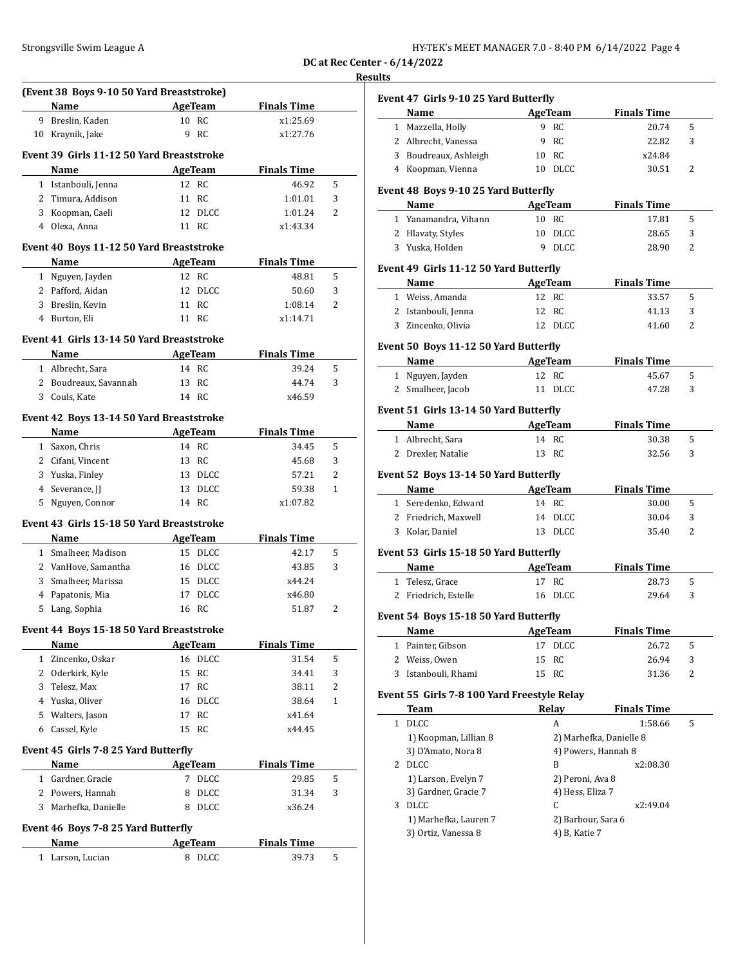| HY-TEK's MEET MANAGER 7.0 - 8:40 PM 6/14/2022 Page 4 |  |  |
|------------------------------------------------------|--|--|
|------------------------------------------------------|--|--|

**DC at Rec Center - 6/14/2022**

# **Results**

| (Event 38 Boys 9-10 50 Yard Breaststroke)<br>Name | AgeTeam                   |                      |   |
|---------------------------------------------------|---------------------------|----------------------|---|
|                                                   |                           | <b>Finals Time</b>   |   |
| 9 Breslin, Kaden                                  | 10 RC<br>9 RC             | x1:25.69<br>x1:27.76 |   |
| 10 Kraynik, Jake                                  |                           |                      |   |
| Event 39 Girls 11-12 50 Yard Breaststroke         |                           |                      |   |
| Name                                              | AgeTeam                   | <b>Finals Time</b>   |   |
| 1 Istanbouli, Jenna                               | 12 RC                     | 46.92                | 5 |
| 2 Timura, Addison                                 | 11 RC                     | 1:01.01              | 3 |
| 3 Koopman, Caeli                                  | 12 DLCC                   | 1:01.24              | 2 |
| 4 Olexa, Anna                                     | 11 RC                     | x1:43.34             |   |
| Event 40 Boys 11-12 50 Yard Breaststroke          |                           |                      |   |
| Name                                              | <b>AgeTeam</b>            | <b>Finals Time</b>   |   |
| 1 Nguyen, Jayden                                  | 12 RC                     | 48.81                | 5 |
| 2 Pafford, Aidan                                  | 12 DLCC                   | 50.60                | 3 |
| 3 Breslin, Kevin                                  | 11 RC                     | 1:08.14              | 2 |
| 4 Burton, Eli                                     | 11 RC                     | x1:14.71             |   |
| Event 41 Girls 13-14 50 Yard Breaststroke         |                           |                      |   |
| Name                                              | AgeTeam                   | <b>Finals Time</b>   |   |
| 1 Albrecht, Sara                                  | 14 RC                     | 39.24                | 5 |
| 2 Boudreaux, Savannah                             | 13 RC                     | 44.74                | 3 |
| 3 Couls, Kate                                     | 14 RC                     | x46.59               |   |
|                                                   |                           |                      |   |
| Event 42 Boys 13-14 50 Yard Breaststroke          |                           |                      |   |
| Name                                              | <b>Example 21 AgeTeam</b> | <b>Finals Time</b>   |   |
| 1 Saxon, Chris                                    | 14 RC                     | 34.45                | 5 |
| 2 Cifani, Vincent                                 | 13 RC                     | 45.68                | 3 |
| 3 Yuska, Finley                                   | 13 DLCC                   | 57.21                | 2 |
| 4 Severance, JJ                                   | 13 DLCC                   | 59.38                | 1 |
| 5 Nguyen, Connor                                  | 14 RC                     | x1:07.82             |   |
| Event 43 Girls 15-18 50 Yard Breaststroke         |                           |                      |   |
| Name                                              | AgeTeam                   | <b>Finals Time</b>   |   |
| 1 Smalheer, Madison                               | 15 DLCC                   | 42.17                | 5 |
| 2 VanHove, Samantha                               | 16 DLCC                   | 43.85                | 3 |
|                                                   |                           |                      |   |
| 3 Smalheer, Marissa                               | 15 DLCC                   | x44.24               |   |
| 4 Papatonis, Mia                                  | 17 DLCC                   | x46.80               |   |
| 5 Lang, Sophia                                    | 16 RC                     | 51.87                | 2 |
|                                                   |                           |                      |   |
| Event 44 Boys 15-18 50 Yard Breaststroke          |                           |                      |   |
| Name                                              | <b>AgeTeam</b>            | <b>Finals Time</b>   |   |
| 1 Zincenko, Oskar                                 | 16 DLCC                   | 31.54                | 5 |
| 2 Oderkirk, Kyle                                  | 15<br>RC                  | 34.41                | 3 |
| 3 Telesz, Max                                     | 17 RC                     | 38.11                | 2 |
| 4 Yuska, Oliver                                   | 16 DLCC                   | 38.64                | 1 |
| 5 Walters, Jason                                  | 17 RC                     | x41.64               |   |
| 6 Cassel, Kyle                                    | 15 RC                     | x44.45               |   |
| Event 45 Girls 7-8 25 Yard Butterfly              |                           |                      |   |
| Name                                              | AgeTeam                   | <b>Finals Time</b>   |   |
| 1 Gardner, Gracie                                 | 7 DLCC                    | 29.85                | 5 |
| 2 Powers, Hannah                                  | 8<br><b>DLCC</b>          | 31.34                | 3 |
| 3 Marhefka, Danielle                              | 8 DLCC                    | x36.24               |   |
|                                                   |                           |                      |   |
| Event 46 Boys 7-8 25 Yard Butterfly<br>Name       | <b>AgeTeam</b>            | <b>Finals Time</b>   |   |

|              | Event 47 Girls 9-10 25 Yard Butterfly                                                                                                                                                                                         |         |                    |                             |   |
|--------------|-------------------------------------------------------------------------------------------------------------------------------------------------------------------------------------------------------------------------------|---------|--------------------|-----------------------------|---|
|              | Name<br>1 Mazzella, Holly                                                                                                                                                                                                     |         | AgeTeam<br>9 RC    | <b>Finals Time</b><br>20.74 | 5 |
|              | 2 Albrecht, Vanessa                                                                                                                                                                                                           |         | 9 RC               | 22.82                       | 3 |
|              | 3 Boudreaux, Ashleigh                                                                                                                                                                                                         |         | 10 RC              | x24.84                      |   |
|              | 4 Koopman, Vienna                                                                                                                                                                                                             |         | 10 DLCC            | 30.51                       | 2 |
|              |                                                                                                                                                                                                                               |         |                    |                             |   |
|              | Event 48 Boys 9-10 25 Yard Butterfly                                                                                                                                                                                          |         |                    |                             |   |
|              | Name                                                                                                                                                                                                                          |         | AgeTeam            | <b>Finals Time</b>          |   |
|              | 1 Yanamandra, Vihann                                                                                                                                                                                                          |         | 10 RC              | 17.81                       | 5 |
|              | 2 Hlavaty, Styles                                                                                                                                                                                                             |         | 10 DLCC            | 28.65                       | 3 |
|              | 3 Yuska, Holden                                                                                                                                                                                                               |         | 9 DLCC             | 28.90                       | 2 |
|              | Event 49 Girls 11-12 50 Yard Butterfly                                                                                                                                                                                        |         |                    |                             |   |
|              | Name                                                                                                                                                                                                                          |         | <b>AgeTeam</b>     | <b>Finals Time</b>          |   |
|              | 1 Weiss, Amanda                                                                                                                                                                                                               |         | 12 RC              | 33.57                       | 5 |
|              | 2 Istanbouli, Jenna                                                                                                                                                                                                           |         | 12 RC              | 41.13                       | 3 |
|              | 3 Zincenko, Olivia                                                                                                                                                                                                            |         | 12 DLCC            | 41.60                       | 2 |
|              | Event 50 Boys 11-12 50 Yard Butterfly                                                                                                                                                                                         |         |                    |                             |   |
|              | Name                                                                                                                                                                                                                          |         | AgeTeam            | <b>Finals Time</b>          |   |
|              | 1 Nguyen, Jayden                                                                                                                                                                                                              |         | 12 RC              | 45.67                       | 5 |
|              | 2 Smalheer, Jacob                                                                                                                                                                                                             |         | 11 DLCC            | 47.28                       | 3 |
|              | Event 51 Girls 13-14 50 Yard Butterfly                                                                                                                                                                                        |         |                    |                             |   |
|              | Name                                                                                                                                                                                                                          |         | AgeTeam            | <b>Finals Time</b>          |   |
|              | 1 Albrecht, Sara                                                                                                                                                                                                              |         | 14 RC              | 30.38                       | 5 |
|              | 2 Drexler, Natalie                                                                                                                                                                                                            |         | 13 RC              | 32.56                       | 3 |
|              |                                                                                                                                                                                                                               |         |                    |                             |   |
|              | Event 52 Boys 13-14 50 Yard Butterfly                                                                                                                                                                                         |         |                    |                             |   |
|              | Name and the same of the same of the same of the same of the same of the same of the same of the same of the same of the same of the same of the same of the same of the same of the same of the same of the same of the same | AgeTeam |                    | <b>Finals Time</b>          |   |
|              | 1 Seredenko, Edward                                                                                                                                                                                                           |         | 14 RC              | 30.00                       | 5 |
|              | 2 Friedrich, Maxwell                                                                                                                                                                                                          |         | 14 DLCC            | 30.04                       | 3 |
|              | 3 Kolar, Daniel                                                                                                                                                                                                               |         | 13 DLCC            | 35.40                       | 2 |
|              | Event 53 Girls 15-18 50 Yard Butterfly                                                                                                                                                                                        |         |                    |                             |   |
|              | Name                                                                                                                                                                                                                          |         | AgeTeam            | <b>Finals Time</b>          |   |
|              | 1 Telesz, Grace                                                                                                                                                                                                               |         | 17 RC              | 28.73                       | 5 |
|              | 2 Friedrich, Estelle                                                                                                                                                                                                          |         | 16 DLCC            | 29.64                       | 3 |
|              | Event 54 Boys 15-18 50 Yard Butterfly                                                                                                                                                                                         |         |                    |                             |   |
|              | <b>Name</b>                                                                                                                                                                                                                   |         | <b>AgeTeam</b>     | <b>Finals Time</b>          |   |
| $\mathbf{1}$ | Painter, Gibson                                                                                                                                                                                                               | 17      | <b>DLCC</b>        | 26.72                       | 5 |
|              | 2 Weiss, Owen                                                                                                                                                                                                                 | 15      | RC                 | 26.94                       | 3 |
| 3            | Istanbouli, Rhami                                                                                                                                                                                                             | 15      | RC                 | 31.36                       | 2 |
|              | Event 55 Girls 7-8 100 Yard Freestyle Relay                                                                                                                                                                                   |         |                    |                             |   |
|              | Team                                                                                                                                                                                                                          |         | Relay              | <b>Finals Time</b>          |   |
| $\mathbf{1}$ | DLCC                                                                                                                                                                                                                          |         | A                  | 1:58.66                     | 5 |
|              | 1) Koopman, Lillian 8                                                                                                                                                                                                         |         |                    | 2) Marhefka, Danielle 8     |   |
|              | 3) D'Amato, Nora 8                                                                                                                                                                                                            |         |                    | 4) Powers, Hannah 8         |   |
|              |                                                                                                                                                                                                                               |         | B                  | x2:08.30                    |   |
|              | 2 DLCC                                                                                                                                                                                                                        |         | 2) Peroni, Ava 8   |                             |   |
|              | 1) Larson, Evelyn 7                                                                                                                                                                                                           |         |                    |                             |   |
|              | 3) Gardner, Gracie 7                                                                                                                                                                                                          |         | 4) Hess, Eliza 7   |                             |   |
|              | 3 DLCC                                                                                                                                                                                                                        |         | C                  | x2:49.04                    |   |
|              | 1) Marhefka, Lauren 7                                                                                                                                                                                                         |         | 2) Barbour, Sara 6 |                             |   |